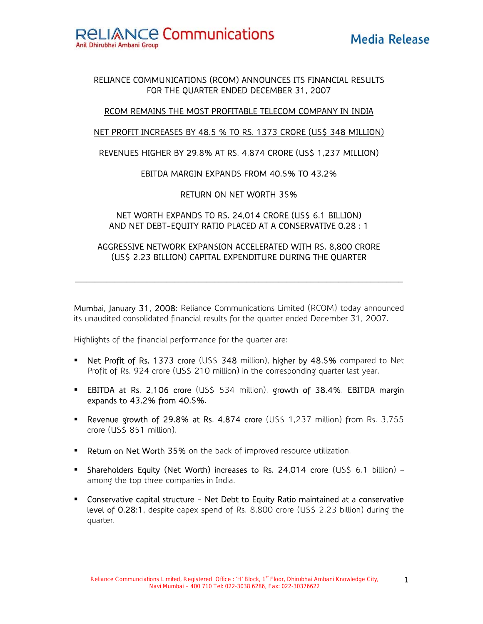# RELIANCE COMMUNICATIONS (RCOM) ANNOUNCES ITS FINANCIAL RESULTS FOR THE QUARTER ENDED DECEMBER 31, 2007

# RCOM REMAINS THE MOST PROFITABLE TELECOM COMPANY IN INDIA

# NET PROFIT INCREASES BY 48.5 % T0 RS. 1373 CRORE (US\$ 348 MILLION)

# REVENUES HIGHER BY 29.8% AT RS. 4,874 CRORE (US\$ 1,237 MILLION)

# EBITDA MARGIN EXPANDS FROM 40.5% TO 43.2%

# RETURN ON NET WORTH 35%

# NET WORTH EXPANDS TO RS. 24,014 CRORE (US\$ 6.1 BILLION) AND NET DEBT-EQUITY RATIO PLACED AT A CONSERVATIVE 0.28 : 1

# AGGRESSIVE NETWORK EXPANSION ACCELERATED WITH RS. 8,800 CRORE (US\$ 2.23 BILLION) CAPITAL EXPENDITURE DURING THE QUARTER

 $\mathcal{L}_\mathcal{L} = \{ \mathcal{L}_\mathcal{L} = \{ \mathcal{L}_\mathcal{L} = \{ \mathcal{L}_\mathcal{L} = \{ \mathcal{L}_\mathcal{L} = \{ \mathcal{L}_\mathcal{L} = \{ \mathcal{L}_\mathcal{L} = \{ \mathcal{L}_\mathcal{L} = \{ \mathcal{L}_\mathcal{L} = \{ \mathcal{L}_\mathcal{L} = \{ \mathcal{L}_\mathcal{L} = \{ \mathcal{L}_\mathcal{L} = \{ \mathcal{L}_\mathcal{L} = \{ \mathcal{L}_\mathcal{L} = \{ \mathcal{L}_\mathcal{$ 

Mumbai, January 31, 2008: Reliance Communications Limited (RCOM) today announced its unaudited consolidated financial results for the quarter ended December 31, 2007.

Highlights of the financial performance for the quarter are:

- **Net Profit of Rs. 1373 crore** (US\$ 348 million), higher by 48.5% compared to Net Profit of Rs. 924 crore (US\$ 210 million) in the corresponding quarter last year.
- **EBITDA at Rs. 2,106 crore** (US\$ 534 million), growth of 38.4%. EBITDA margin expands to 43.2% from 40.5%.
- **Performal Revenue growth of 29.8% at Rs. 4,874 crore (US\$ 1,237 million) from Rs. 3,755** crore (US\$ 851 million).
- **Return on Net Worth 35%** on the back of improved resource utilization.
- **Shareholders Equity (Net Worth) increases to Rs. 24,014 crore (US\$ 6.1 billion)** among the top three companies in India.
- Conservative capital structure Net Debt to Equity Ratio maintained at a conservative level of 0.28:1, despite capex spend of Rs. 8,800 crore (US\$ 2.23 billion) during the quarter.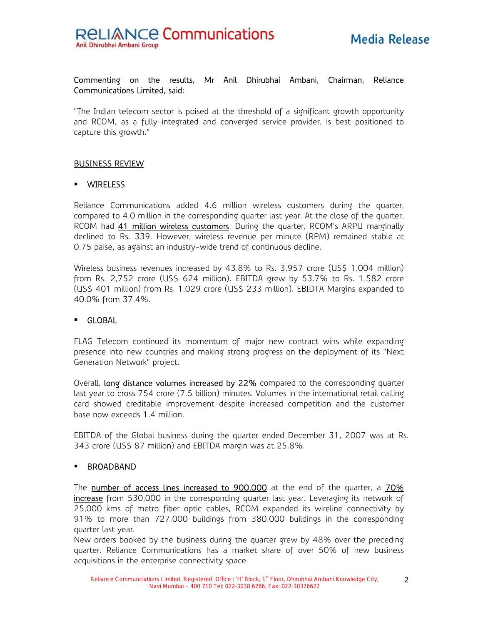# Commenting on the results, Mr Anil Dhirubhai Ambani, Chairman, Reliance Communications Limited, said:

"The Indian telecom sector is poised at the threshold of a significant growth opportunity and RCOM, as a fully-integrated and converged service provider, is best-positioned to capture this growth."

# BUSINESS REVIEW

#### WIRELESS

Reliance Communications added 4.6 million wireless customers during the quarter, compared to 4.0 million in the corresponding quarter last year. At the close of the quarter, RCOM had 41 million wireless customers. During the quarter, RCOM's ARPU marginally declined to Rs. 339. However, wireless revenue per minute (RPM) remained stable at 0.75 paise, as against an industry-wide trend of continuous decline.

Wireless business revenues increased by 43.8% to Rs. 3,957 crore (US\$ 1,004 million) from Rs. 2,752 crore (US\$ 624 million). EBITDA grew by 53.7% to Rs. 1,582 crore (US\$ 401 million) from Rs. 1,029 crore (US\$ 233 million). EBIDTA Margins expanded to 40.0% from 37.4%.

#### GLOBAL

FLAG Telecom continued its momentum of major new contract wins while expanding presence into new countries and making strong progress on the deployment of its "Next Generation Network" project.

Overall, long distance volumes increased by 22% compared to the corresponding quarter last year to cross 754 crore (7.5 billion) minutes. Volumes in the international retail calling card showed creditable improvement despite increased competition and the customer base now exceeds 1.4 million.

EBITDA of the Global business during the quarter ended December 31, 2007 was at Rs. 343 crore (US\$ 87 million) and EBITDA margin was at 25.8%.

#### **BROADBAND**

The number of access lines increased to 900,000 at the end of the quarter, a 70% increase from 530,000 in the corresponding quarter last year. Leveraging its network of 25,000 kms of metro fiber optic cables, RCOM expanded its wireline connectivity by 91% to more than 727,000 buildings from 380,000 buildings in the corresponding quarter last year.

New orders booked by the business during the quarter grew by 48% over the preceding quarter. Reliance Communications has a market share of over 50% of new business acquisitions in the enterprise connectivity space.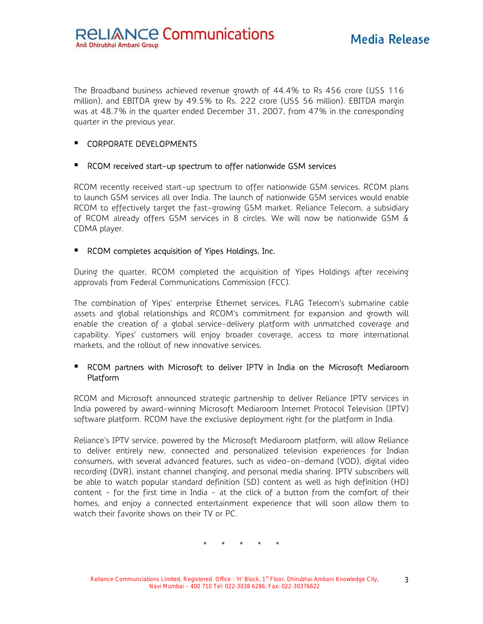The Broadband business achieved revenue growth of 44.4% to Rs 456 crore (US\$ 116 million), and EBITDA grew by 49.5% to Rs. 222 crore (US\$ 56 million). EBITDA margin was at 48.7% in the quarter ended December 31, 2007, from 47% in the corresponding quarter in the previous year.

# **CORPORATE DEVELOPMENTS**

# ■ RCOM received start-up spectrum to offer nationwide GSM services

RCOM recently received start-up spectrum to offer nationwide GSM services. RCOM plans to launch GSM services all over India. The launch of nationwide GSM services would enable RCOM to effectively target the fast-growing GSM market. Reliance Telecom, a subsidiary of RCOM already offers GSM services in 8 circles. We will now be nationwide GSM & CDMA player.

#### **RCOM completes acquisition of Yipes Holdings, Inc.**

During the quarter, RCOM completed the acquisition of Yipes Holdings after receiving approvals from Federal Communications Commission (FCC).

The combination of Yipes' enterprise Ethernet services, FLAG Telecom's submarine cable assets and global relationships and RCOM's commitment for expansion and growth will enable the creation of a global service-delivery platform with unmatched coverage and capability. Yipes' customers will enjoy broader coverage, access to more international markets, and the rollout of new innovative services.

# **RCOM** partners with Microsoft to deliver IPTV in India on the Microsoft Mediaroom Platform

RCOM and Microsoft announced strategic partnership to deliver Reliance IPTV services in India powered by award-winning Microsoft Mediaroom Internet Protocol Television (IPTV) software platform. RCOM have the exclusive deployment right for the platform in India.

Reliance's IPTV service, powered by the Microsoft Mediaroom platform, will allow Reliance to deliver entirely new, connected and personalized television experiences for Indian consumers, with several advanced features, such as video-on-demand (VOD), digital video recording (DVR), instant channel changing, and personal media sharing. IPTV subscribers will be able to watch popular standard definition (SD) content as well as high definition (HD) content - for the first time in India - at the click of a button from the comfort of their homes, and enjoy a connected entertainment experience that will soon allow them to watch their favorite shows on their TV or PC.

\* \* \* \* \*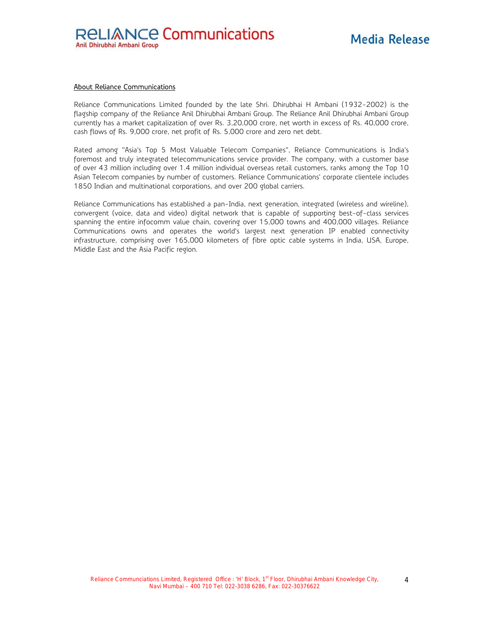#### About Reliance Communications

Reliance Communications Limited founded by the late Shri. Dhirubhai H Ambani (1932-2002) is the flagship company of the Reliance Anil Dhirubhai Ambani Group. The Reliance Anil Dhirubhai Ambani Group currently has a market capitalization of over Rs. 3,20,000 crore, net worth in excess of Rs. 40,000 crore, cash flows of Rs. 9,000 crore, net profit of Rs. 5,000 crore and zero net debt.

Rated among "Asia's Top 5 Most Valuable Telecom Companies", Reliance Communications is India's foremost and truly integrated telecommunications service provider. The company, with a customer base of over 43 million including over 1.4 million individual overseas retail customers, ranks among the Top 10 Asian Telecom companies by number of customers. Reliance Communications' corporate clientele includes 1850 Indian and multinational corporations, and over 200 global carriers.

Reliance Communications has established a pan-India, next generation, integrated (wireless and wireline), convergent (voice, data and video) digital network that is capable of supporting best-of-class services spanning the entire infocomm value chain, covering over 15,000 towns and 400,000 villages. Reliance Communications owns and operates the world's largest next generation IP enabled connectivity infrastructure, comprising over 165,000 kilometers of fibre optic cable systems in India, USA, Europe, Middle East and the Asia Pacific region.